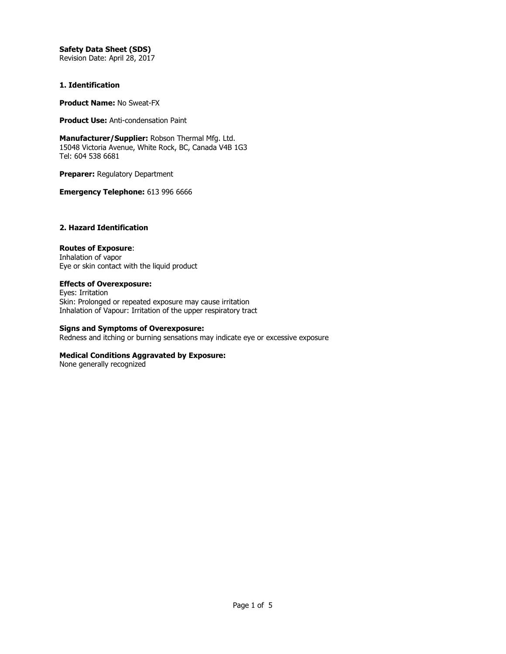# **Safety Data Sheet (SDS)**

Revision Date: April 28, 2017

### **1. Identification**

**Product Name:** No Sweat-FX

**Product Use:** Anti-condensation Paint

**Manufacturer/Supplier:** Robson Thermal Mfg. Ltd. 15048 Victoria Avenue, White Rock, BC, Canada V4B 1G3 Tel: 604 538 6681

**Preparer:** Regulatory Department

**Emergency Telephone:** 613 996 6666

# **2. Hazard Identification**

## **Routes of Exposure**:

Inhalation of vapor Eye or skin contact with the liquid product

**Effects of Overexposure:** Eyes: Irritation

Skin: Prolonged or repeated exposure may cause irritation Inhalation of Vapour: Irritation of the upper respiratory tract

# **Signs and Symptoms of Overexposure:**

Redness and itching or burning sensations may indicate eye or excessive exposure

### **Medical Conditions Aggravated by Exposure:**

None generally recognized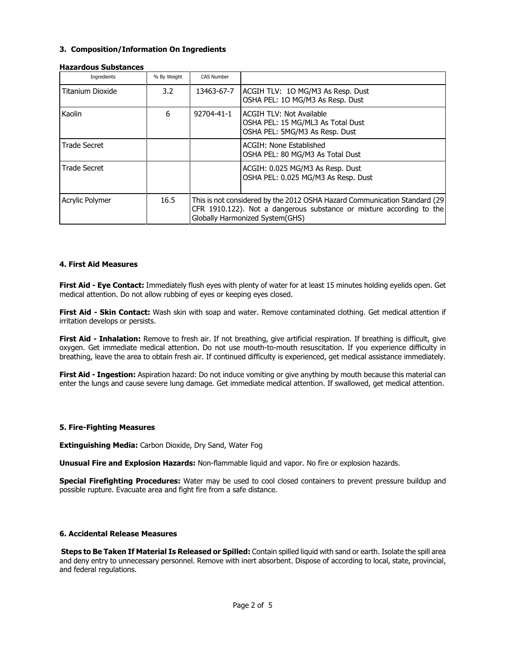## **3. Composition/Information On Ingredients**

| Hazal uvus Suvstalites |             |                                                                                                                                                                                      |                                                                                                        |  |
|------------------------|-------------|--------------------------------------------------------------------------------------------------------------------------------------------------------------------------------------|--------------------------------------------------------------------------------------------------------|--|
| Ingredients            | % By Weight | <b>CAS Number</b>                                                                                                                                                                    |                                                                                                        |  |
| Titanium Dioxide       | 3.2         | 13463-67-7                                                                                                                                                                           | ACGIH TLV: 10 MG/M3 As Resp. Dust<br>OSHA PEL: 10 MG/M3 As Resp. Dust                                  |  |
| Kaolin                 | 6           | 92704-41-1                                                                                                                                                                           | <b>ACGIH TLV: Not Available</b><br>OSHA PEL: 15 MG/ML3 As Total Dust<br>OSHA PEL: 5MG/M3 As Resp. Dust |  |
| <b>Trade Secret</b>    |             |                                                                                                                                                                                      | ACGIH: None Established<br>OSHA PEL: 80 MG/M3 As Total Dust                                            |  |
| <b>Trade Secret</b>    |             |                                                                                                                                                                                      | ACGIH: 0.025 MG/M3 As Resp. Dust<br>OSHA PEL: 0.025 MG/M3 As Resp. Dust                                |  |
| Acrylic Polymer        | 16.5        | This is not considered by the 2012 OSHA Hazard Communication Standard (29<br>CFR 1910.122). Not a dangerous substance or mixture according to the<br>Globally Harmonized System(GHS) |                                                                                                        |  |

### **Hazardous Substances**

### **4. First Aid Measures**

**First Aid - Eye Contact:** Immediately flush eyes with plenty of water for at least 15 minutes holding eyelids open. Get medical attention. Do not allow rubbing of eyes or keeping eyes closed.

**First Aid - Skin Contact:** Wash skin with soap and water. Remove contaminated clothing. Get medical attention if irritation develops or persists.

**First Aid - Inhalation:** Remove to fresh air. If not breathing, give artificial respiration. If breathing is difficult, give oxygen. Get immediate medical attention. Do not use mouth-to-mouth resuscitation. If you experience difficulty in breathing, leave the area to obtain fresh air. If continued difficulty is experienced, get medical assistance immediately.

**First Aid - Ingestion:** Aspiration hazard: Do not induce vomiting or give anything by mouth because this material can enter the lungs and cause severe lung damage. Get immediate medical attention. If swallowed, get medical attention.

### **5. Fire-Fighting Measures**

**Extinguishing Media:** Carbon Dioxide, Dry Sand, Water Fog

**Unusual Fire and Explosion Hazards:** Non-flammable liquid and vapor. No fire or explosion hazards.

**Special Firefighting Procedures:** Water may be used to cool closed containers to prevent pressure buildup and possible rupture. Evacuate area and fight fire from a safe distance.

### **6. Accidental Release Measures**

**Steps to Be Taken If Material Is Released or Spilled:** Contain spilled liquid with sand or earth. Isolate the spill area and deny entry to unnecessary personnel. Remove with inert absorbent. Dispose of according to local, state, provincial, and federal regulations.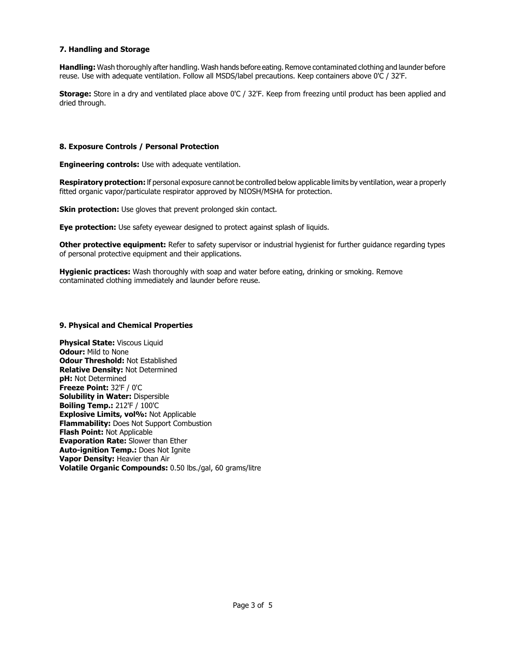# **7. Handling and Storage**

**Handling:** Wash thoroughly after handling. Wash hands before eating. Remove contaminated clothing and launder before reuse. Use with adequate ventilation. Follow all MSDS/label precautions. Keep containers above 0'C / 32'F.

**Storage:** Store in a dry and ventilated place above 0'C / 32'F. Keep from freezing until product has been applied and dried through.

#### **8. Exposure Controls / Personal Protection**

**Engineering controls:** Use with adequate ventilation.

**Respiratory protection:** lf personal exposure cannot be controlled below applicable limits by ventilation, wear a properly fitted organic vapor/particulate respirator approved by NIOSH/MSHA for protection.

**Skin protection:** Use gloves that prevent prolonged skin contact.

**Eye protection:** Use safety eyewear designed to protect against splash of liquids.

**Other protective equipment:** Refer to safety supervisor or industrial hygienist for further guidance regarding types of personal protective equipment and their applications.

**Hygienic practices:** Wash thoroughly with soap and water before eating, drinking or smoking. Remove contaminated clothing immediately and launder before reuse.

#### **9. Physical and Chemical Properties**

**Physical State: Viscous Liquid Odour:** Mild to None **Odour Threshold:** Not Established **Relative Density:** Not Determined **pH:** Not Determined **Freeze Point:** 32'F / 0'C **Solubility in Water:** Dispersible **Boiling Temp.:** 212'F / 100'C **Explosive Limits, vol%:** Not Applicable **Flammability:** Does Not Support Combustion **Flash Point:** Not Applicable **Evaporation Rate:** Slower than Ether **Auto-ignition Temp.:** Does Not Ignite **Vapor Density:** Heavier than Air **Volatile Organic Compounds:** 0.50 lbs./gal, 60 grams/litre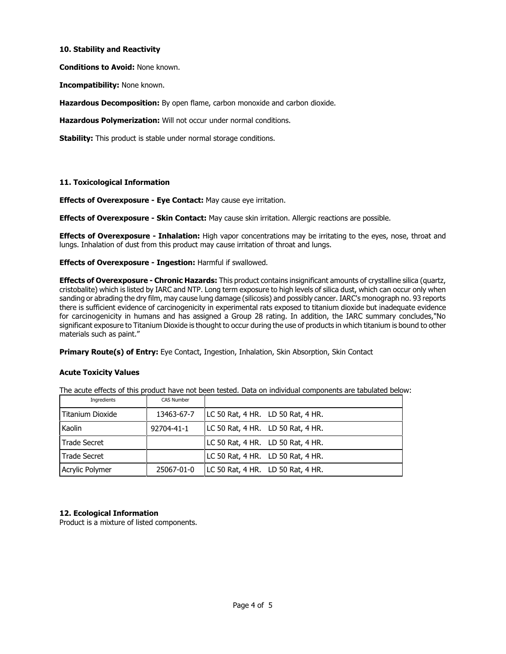## **10. Stability and Reactivity**

**Conditions to Avoid:** None known.

**Incompatibility:** None known.

**Hazardous Decomposition:** By open flame, carbon monoxide and carbon dioxide.

**Hazardous Polymerization:** Will not occur under normal conditions.

**Stability:** This product is stable under normal storage conditions.

## **11. Toxicological Information**

**Effects of Overexposure - Eye Contact:** May cause eye irritation.

**Effects of Overexposure - Skin Contact:** May cause skin irritation. Allergic reactions are possible.

**Effects of Overexposure - Inhalation:** High vapor concentrations may be irritating to the eyes, nose, throat and lungs. Inhalation of dust from this product may cause irritation of throat and lungs.

**Effects of Overexposure - Ingestion:** Harmful if swallowed.

**Effects of Overexposure - Chronic Hazards:** This product contains insignificant amounts of crystalline silica (quartz, cristobalite) which is listed by IARC and NTP. Long term exposure to high levels of silica dust, which can occur only when sanding or abrading the dry film, may cause lung damage (silicosis) and possibly cancer. IARC's monograph no. 93 reports there is sufficient evidence of carcinogenicity in experimental rats exposed to titanium dioxide but inadequate evidence for carcinogenicity in humans and has assigned a Group 28 rating. In addition, the IARC summary concludes,"No significant exposure to Titanium Dioxide is thought to occur during the use of products in which titanium is bound to other materials such as paint."

**Primary Route(s) of Entry:** Eye Contact, Ingestion, Inhalation, Skin Absorption, Skin Contact

# **Acute Toxicity Values**

The acute effects of this product have not been tested. Data on individual components are tabulated below:

| Ingredients      | <b>CAS Number</b> |                                   |
|------------------|-------------------|-----------------------------------|
| Titanium Dioxide | 13463-67-7        | LC 50 Rat, 4 HR. LD 50 Rat, 4 HR. |
| Kaolin           | 92704-41-1        | LC 50 Rat, 4 HR. LD 50 Rat, 4 HR. |
| Trade Secret     |                   | LC 50 Rat, 4 HR. LD 50 Rat, 4 HR. |
| Trade Secret     |                   | LC 50 Rat, 4 HR. LD 50 Rat, 4 HR. |
| Acrylic Polymer  | 25067-01-0        | LC 50 Rat, 4 HR. LD 50 Rat, 4 HR. |

# **12. Ecological Information**

Product is a mixture of listed components.